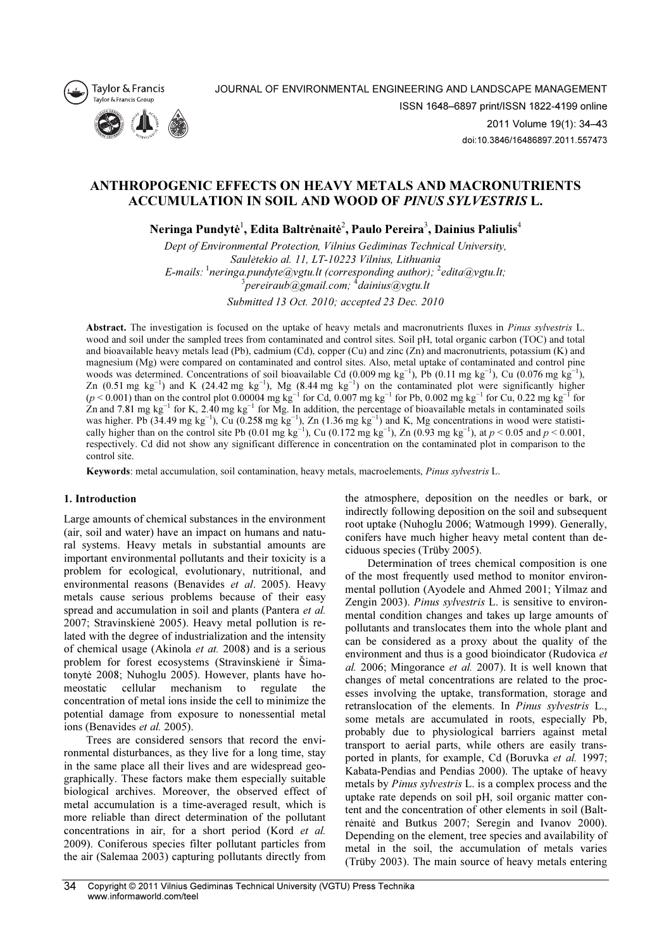



JOURNAL OF ENVIRONMENTAL ENGINEERING AND LANDSCAPE MANAGEMENT ISSN 1648–6897 print/ISSN 1822-4199 online 2011 Volume 19(1): 34–43

doi:10.3846/16486897.2011.557473

# ANTHROPOGENIC EFFECTS ON HEAVY METALS AND MACRONUTRIENTS ACCUMULATION IN SOIL AND WOOD OF PINUS SYLVESTRIS L.

Neringa Pundytė $^{\rm l}$ , Edita Baltrėnaitė $^{\rm 2}$ , Paulo Pereira $^{\rm 3}$ , Dainius Paliulis $^{\rm 4}$ 

Dept of Environmental Protection, Vilnius Gediminas Technical University, Saulėtekio al. 11, LT-10223 Vilnius, Lithuania E-mails:  $\frac{1}{2}$  neringa.pundyte@vgtu.lt (corresponding author);  $\frac{2}{2}$ edita@vgtu.lt;  $\sigma^3$ pereiraub $\alpha$ gmail.com;  $^4$ dainius $\alpha$ vgtu.lt

Submitted 13 Oct. 2010; accepted 23 Dec. 2010

Abstract. The investigation is focused on the uptake of heavy metals and macronutrients fluxes in *Pinus sylvestris* L. wood and soil under the sampled trees from contaminated and control sites. Soil pH, total organic carbon (TOC) and total and bioavailable heavy metals lead (Pb), cadmium (Cd), copper (Cu) and zinc (Zn) and macronutrients, potassium (K) and magnesium (Mg) were compared on contaminated and control sites. Also, metal uptake of contaminated and control pine woods was determined. Concentrations of soil bioavailable Cd (0.009 mg kg<sup>-1</sup>), Pb (0.11 mg kg<sup>-1</sup>), Cu (0.076 mg kg<sup>-1</sup>), Zn (0.51 mg kg<sup>-1</sup>) and K (24.42 mg kg<sup>-1</sup>), Mg (8.44 mg kg<sup>-1</sup>) on the contaminated plot were significantly higher  $(p < 0.001)$  than on the control plot 0.00004 mg kg<sup>-1</sup> for Cd, 0.007 mg kg<sup>-1</sup> for Pb, 0.002 mg kg<sup>-1</sup> for Cu, 0.22 mg kg<sup>-1</sup> for Zn and 7.81 mg kg<sup>-1</sup> for K, 2.40 mg kg<sup>-1</sup> for Mg. In addition, the percentage of bioavailable metals in contaminated soils was higher. Pb (34.49 mg kg<sup>-1</sup>), Cu (0.258 mg kg<sup>-1</sup>), Zn (1.36 mg kg<sup>-1</sup>) and K, Mg concentrations in wood were statistically higher than on the control site Pb (0.01 mg kg<sup>-1</sup>), Cu (0.172 mg kg<sup>-1</sup>), Zn (0.93 mg kg<sup>-1</sup>), at  $p < 0.05$  and  $p < 0.001$ , respectively. Cd did not show any significant difference in concentration on the contaminated plot in comparison to the control site.

Keywords: metal accumulation, soil contamination, heavy metals, macroelements, Pinus sylvestris L.

# 1. Introduction

Large amounts of chemical substances in the environment (air, soil and water) have an impact on humans and natural systems. Heavy metals in substantial amounts are important environmental pollutants and their toxicity is a problem for ecological, evolutionary, nutritional, and environmental reasons (Benavides et al. 2005). Heavy metals cause serious problems because of their easy spread and accumulation in soil and plants (Pantera et al. 2007; Stravinskienė 2005). Heavy metal pollution is related with the degree of industrialization and the intensity of chemical usage (Akinola et at. 2008) and is a serious problem for forest ecosystems (Stravinskienė ir Šimatonytė 2008; Nuhoglu 2005). However, plants have homeostatic cellular mechanism to regulate the concentration of metal ions inside the cell to minimize the potential damage from exposure to nonessential metal ions (Benavides et al. 2005).

Trees are considered sensors that record the environmental disturbances, as they live for a long time, stay in the same place all their lives and are widespread geographically. These factors make them especially suitable biological archives. Moreover, the observed effect of metal accumulation is a time-averaged result, which is more reliable than direct determination of the pollutant concentrations in air, for a short period (Kord et al. 2009). Coniferous species filter pollutant particles from the air (Salemaa 2003) capturing pollutants directly from

the atmosphere, deposition on the needles or bark, or indirectly following deposition on the soil and subsequent root uptake (Nuhoglu 2006; Watmough 1999). Generally, conifers have much higher heavy metal content than deciduous species (Trüby 2005).

Determination of trees chemical composition is one of the most frequently used method to monitor environmental pollution (Ayodele and Ahmed 2001; Yilmaz and Zengin 2003). Pinus sylvestris L. is sensitive to environmental condition changes and takes up large amounts of pollutants and translocates them into the whole plant and can be considered as a proxy about the quality of the environment and thus is a good bioindicator (Rudovica et al. 2006; Mingorance et al. 2007). It is well known that changes of metal concentrations are related to the processes involving the uptake, transformation, storage and retranslocation of the elements. In Pinus sylvestris L., some metals are accumulated in roots, especially Pb, probably due to physiological barriers against metal transport to aerial parts, while others are easily transported in plants, for example, Cd (Boruvka et al. 1997; Kabata-Pendias and Pendias 2000). The uptake of heavy metals by Pinus sylvestris L. is a complex process and the uptake rate depends on soil pH, soil organic matter content and the concentration of other elements in soil (Baltrėnaitė and Butkus 2007; Seregin and Ivanov 2000). Depending on the element, tree species and availability of metal in the soil, the accumulation of metals varies (Trüby 2003). The main source of heavy metals entering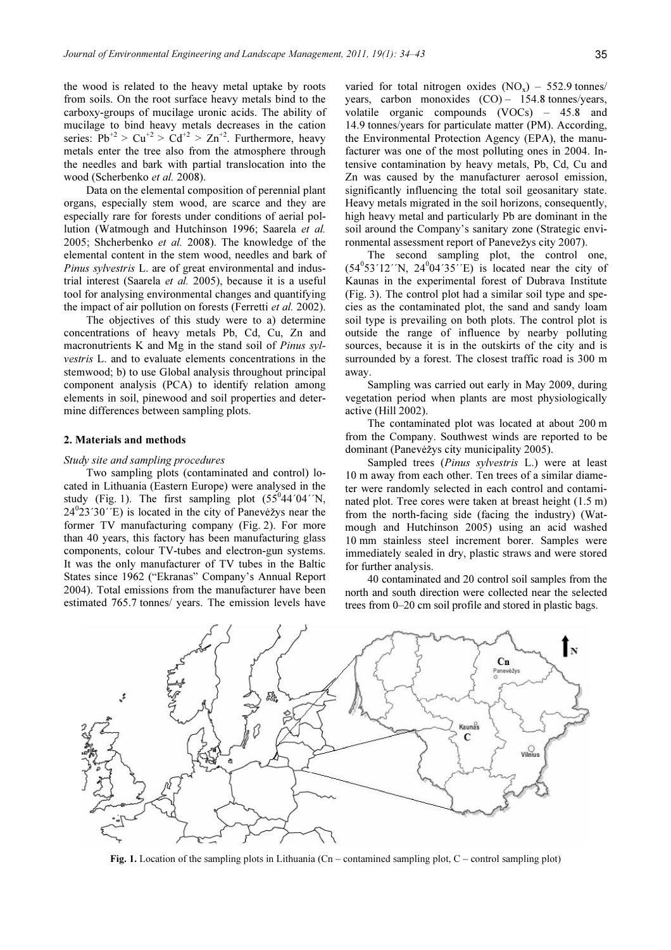the wood is related to the heavy metal uptake by roots from soils. On the root surface heavy metals bind to the carboxy-groups of mucilage uronic acids. The ability of mucilage to bind heavy metals decreases in the cation series:  $Pb^{2}$  >  $Cu^{2}$  >  $Cd^{2}$  >  $Zn^{2}$ . Furthermore, heavy metals enter the tree also from the atmosphere through the needles and bark with partial translocation into the wood (Scherbenko et al. 2008).

Data on the elemental composition of perennial plant organs, especially stem wood, are scarce and they are especially rare for forests under conditions of aerial pollution (Watmough and Hutchinson 1996; Saarela et al. 2005; Shcherbenko et al. 2008). The knowledge of the elemental content in the stem wood, needles and bark of Pinus sylvestris L. are of great environmental and industrial interest (Saarela et al. 2005), because it is a useful tool for analysing environmental changes and quantifying the impact of air pollution on forests (Ferretti et al. 2002).

The objectives of this study were to a) determine concentrations of heavy metals Pb, Cd, Cu, Zn and macronutrients K and Mg in the stand soil of Pinus sylvestris L. and to evaluate elements concentrations in the stemwood; b) to use Global analysis throughout principal component analysis (PCA) to identify relation among elements in soil, pinewood and soil properties and determine differences between sampling plots.

# 2. Materials and methods

#### Study site and sampling procedures

Two sampling plots (contaminated and control) located in Lithuania (Eastern Europe) were analysed in the study (Fig. 1). The first sampling plot  $(55^044'04'')$ N,  $24^{\circ}23'30''$ E) is located in the city of Panevėžys near the former TV manufacturing company (Fig. 2). For more than 40 years, this factory has been manufacturing glass components, colour TV-tubes and electron-gun systems. It was the only manufacturer of TV tubes in the Baltic States since 1962 ("Ekranas" Company's Annual Report 2004). Total emissions from the manufacturer have been estimated 765.7 tonnes/ years. The emission levels have

varied for total nitrogen oxides  $(NO_x) - 552.9$  tonnes/ years, carbon monoxides  $(CO) - 154.8$  tonnes/years, volatile organic compounds (VOCs) – 45.8 and 14.9 tonnes/years for particulate matter (PM). According, the Environmental Protection Agency (EPA), the manufacturer was one of the most polluting ones in 2004. Intensive contamination by heavy metals, Pb, Cd, Cu and Zn was caused by the manufacturer aerosol emission, significantly influencing the total soil geosanitary state. Heavy metals migrated in the soil horizons, consequently, high heavy metal and particularly Pb are dominant in the soil around the Company's sanitary zone (Strategic environmental assessment report of Panevežys city 2007).

The second sampling plot, the control one,  $(54<sup>0</sup>53'12'')$ N,  $24<sup>0</sup>04'35'$ <sup>T</sup>E) is located near the city of Kaunas in the experimental forest of Dubrava Institute (Fig. 3). The control plot had a similar soil type and species as the contaminated plot, the sand and sandy loam soil type is prevailing on both plots. The control plot is outside the range of influence by nearby polluting sources, because it is in the outskirts of the city and is surrounded by a forest. The closest traffic road is 300 m away.

Sampling was carried out early in May 2009, during vegetation period when plants are most physiologically active (Hill 2002).

The contaminated plot was located at about 200 m from the Company. Southwest winds are reported to be dominant (Panevėžys city municipality 2005).

Sampled trees (Pinus sylvestris L.) were at least 10 m away from each other. Ten trees of a similar diameter were randomly selected in each control and contaminated plot. Tree cores were taken at breast height (1.5 m) from the north-facing side (facing the industry) (Watmough and Hutchinson 2005) using an acid washed 10 mm stainless steel increment borer. Samples were immediately sealed in dry, plastic straws and were stored for further analysis.

40 contaminated and 20 control soil samples from the north and south direction were collected near the selected trees from 0–20 cm soil profile and stored in plastic bags.



Fig. 1. Location of the sampling plots in Lithuania (Cn – contamined sampling plot, C – control sampling plot)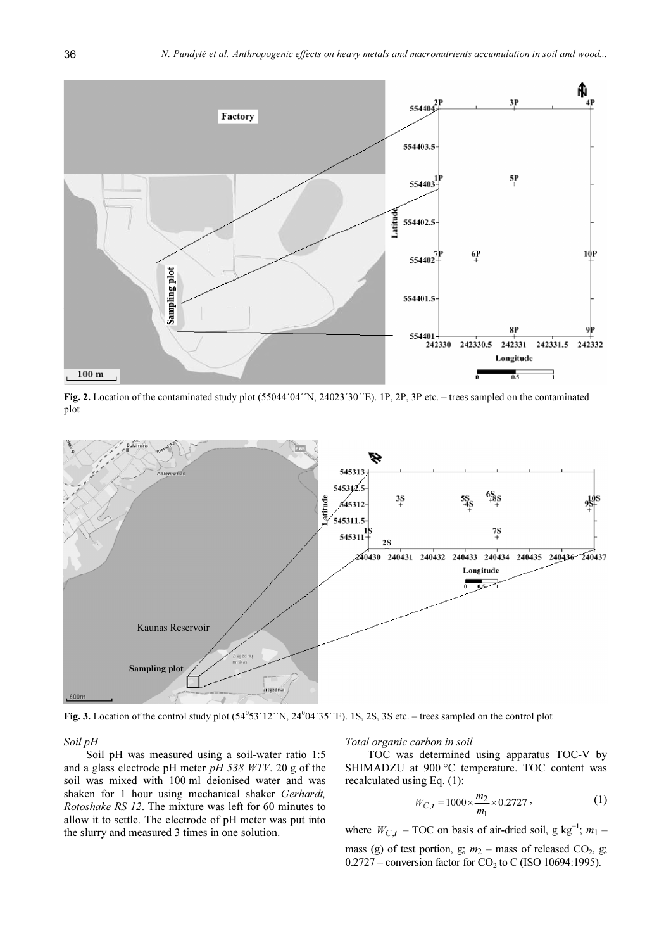

Fig. 2. Location of the contaminated study plot (55044´04´´N, 24023´30´´E). 1P, 2P, 3P etc. – trees sampled on the contaminated plot



Fig. 3. Location of the control study plot  $(54^053'12'N, 24^004'35'E)$ . 1S, 2S, 3S etc. – trees sampled on the control plot

Soil pH

Soil pH was measured using a soil-water ratio 1:5 and a glass electrode pH meter  $pH$  538 WTV. 20 g of the soil was mixed with 100 ml deionised water and was shaken for 1 hour using mechanical shaker Gerhardt, Rotoshake RS 12. The mixture was left for 60 minutes to allow it to settle. The electrode of pH meter was put into the slurry and measured 3 times in one solution.

Total organic carbon in soil

TOC was determined using apparatus TOC-V by SHIMADZU at 900 °C temperature. TOC content was recalculated using Eq. (1):

$$
W_{C,t} = 1000 \times \frac{m_2}{m_1} \times 0.2727 \tag{1}
$$

where  $W_{C,t}$  – TOC on basis of air-dried soil, g kg<sup>-1</sup>;  $m_1$  – mass (g) of test portion, g;  $m_2$  – mass of released CO<sub>2</sub>, g;  $0.2727$  – conversion factor for CO<sub>2</sub> to C (ISO 10694:1995).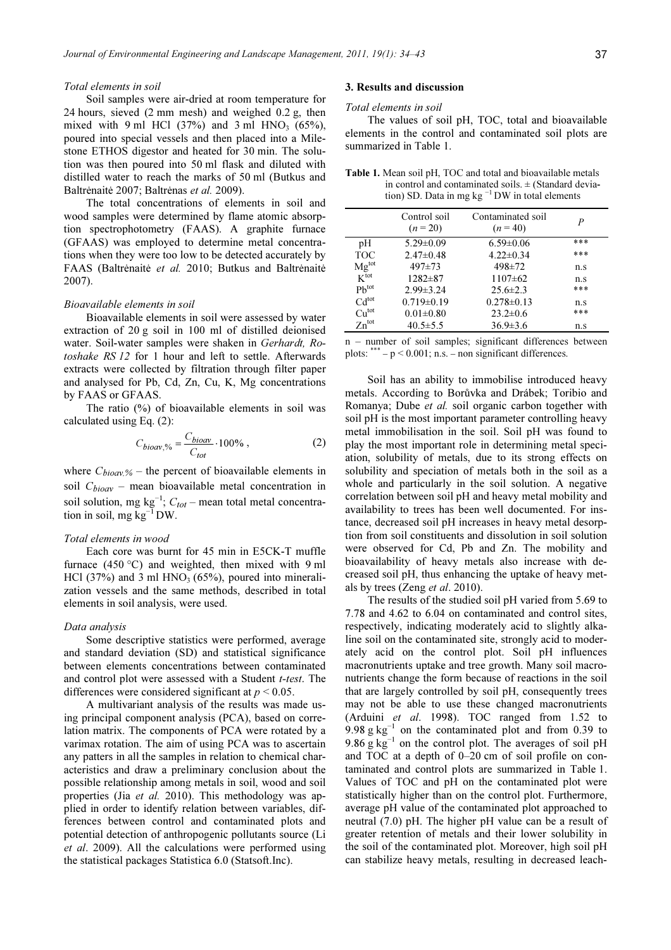# Total elements in soil

Soil samples were air-dried at room temperature for 24 hours, sieved (2 mm mesh) and weighed 0.2 g, then mixed with 9 ml HCl  $(37%)$  and 3 ml HNO<sub>3</sub>  $(65%)$ , poured into special vessels and then placed into a Milestone ETHOS digestor and heated for 30 min. The solution was then poured into 50 ml flask and diluted with distilled water to reach the marks of 50 ml (Butkus and Baltrėnaitė 2007; Baltrėnas et al. 2009).

The total concentrations of elements in soil and wood samples were determined by flame atomic absorption spectrophotometry (FAAS). A graphite furnace (GFAAS) was employed to determine metal concentrations when they were too low to be detected accurately by FAAS (Baltrėnaitė et al. 2010; Butkus and Baltrėnaitė 2007).

# Bioavailable elements in soil

Bioavailable elements in soil were assessed by water extraction of 20 g soil in 100 ml of distilled deionised water. Soil-water samples were shaken in Gerhardt, Rotoshake RS 12 for 1 hour and left to settle. Afterwards extracts were collected by filtration through filter paper and analysed for Pb, Cd, Zn, Cu, K, Mg concentrations by FAAS or GFAAS.

The ratio (%) of bioavailable elements in soil was calculated using Eq. (2):

$$
C_{bioav, \%} = \frac{C_{bioav}}{C_{tot}} \cdot 100\%, \qquad (2)
$$

where  $C_{bioav.%}$  – the percent of bioavailable elements in soil  $C_{bioav}$  – mean bioavailable metal concentration in soil solution, mg kg<sup>-1</sup>;  $C_{tot}$  – mean total metal concentration in soil, mg  $kg^{-1}DW$ .

# Total elements in wood

Each core was burnt for 45 min in E5CK-T muffle furnace  $(450 °C)$  and weighted, then mixed with 9 ml HCl (37%) and 3 ml  $HNO<sub>3</sub>$  (65%), poured into mineralization vessels and the same methods, described in total elements in soil analysis, were used.

# Data analysis

Some descriptive statistics were performed, average and standard deviation (SD) and statistical significance between elements concentrations between contaminated and control plot were assessed with a Student *t-test*. The differences were considered significant at  $p \le 0.05$ .

A multivariant analysis of the results was made using principal component analysis (PCA), based on correlation matrix. The components of PCA were rotated by a varimax rotation. The aim of using PCA was to ascertain any patters in all the samples in relation to chemical characteristics and draw a preliminary conclusion about the possible relationship among metals in soil, wood and soil properties (Jia et al. 2010). This methodology was applied in order to identify relation between variables, differences between control and contaminated plots and potential detection of anthropogenic pollutants source (Li et al. 2009). All the calculations were performed using the statistical packages Statistica 6.0 (Statsoft.Inc).

# 3. Results and discussion

#### Total elements in soil

The values of soil pH, TOC, total and bioavailable elements in the control and contaminated soil plots are summarized in Table 1.

Table 1. Mean soil pH, TOC and total and bioavailable metals in control and contaminated soils.  $\pm$  (Standard deviation) SD. Data in mg kg  $^{-1}$  DW in total elements

|                   | Control soil<br>$(n=20)$ | Contaminated soil<br>$(n=40)$ | Р   |
|-------------------|--------------------------|-------------------------------|-----|
| pH                | $5.29 \pm 0.09$          | $6.59 \pm 0.06$               | *** |
| <b>TOC</b>        | $2.47\pm0.48$            | $4.22 \pm 0.34$               | *** |
| Mg <sup>tot</sup> | $497 + 73$               | 498±72                        | n.s |
| $K^{\text{tot}}$  | $1282 \pm 87$            | $1107\pm 62$                  | n.s |
| $Ph^{tot}$        | $2.99 \pm 3.24$          | $25.6 \pm 2.3$                | *** |
| Cd <sup>tot</sup> | $0.719 \pm 0.19$         | $0.278 \pm 0.13$              | n.s |
| Cu <sup>tot</sup> | $0.01 \pm 0.80$          | $23.2 \pm 0.6$                | *** |
| $Zn^{tot}$        | $40.5 \pm 5.5$           | $36.9 \pm 3.6$                | n.s |

n – number of soil samples; significant differences between plots:  $*** - p < 0.001$ ; n.s. – non significant differences.

Soil has an ability to immobilise introduced heavy metals. According to Borůvka and Drábek; Toribio and Romanya; Dube et al. soil organic carbon together with soil pH is the most important parameter controlling heavy metal immobilisation in the soil. Soil pH was found to play the most important role in determining metal speciation, solubility of metals, due to its strong effects on solubility and speciation of metals both in the soil as a whole and particularly in the soil solution. A negative correlation between soil pH and heavy metal mobility and availability to trees has been well documented. For instance, decreased soil pH increases in heavy metal desorption from soil constituents and dissolution in soil solution were observed for Cd, Pb and Zn. The mobility and bioavailability of heavy metals also increase with decreased soil pH, thus enhancing the uptake of heavy metals by trees (Zeng et al. 2010).

The results of the studied soil pH varied from 5.69 to 7.78 and 4.62 to 6.04 on contaminated and control sites, respectively, indicating moderately acid to slightly alkaline soil on the contaminated site, strongly acid to moderately acid on the control plot. Soil pH influences macronutrients uptake and tree growth. Many soil macronutrients change the form because of reactions in the soil that are largely controlled by soil pH, consequently trees may not be able to use these changed macronutrients (Arduini et al. 1998). TOC ranged from 1.52 to 9.98 g  $kg^{-1}$  on the contaminated plot and from 0.39 to 9.86 g  $kg^{-1}$  on the control plot. The averages of soil pH and TOC at a depth of 0–20 cm of soil profile on contaminated and control plots are summarized in Table 1. Values of TOC and pH on the contaminated plot were statistically higher than on the control plot. Furthermore, average pH value of the contaminated plot approached to neutral (7.0) pH. The higher pH value can be a result of greater retention of metals and their lower solubility in the soil of the contaminated plot. Moreover, high soil pH can stabilize heavy metals, resulting in decreased leach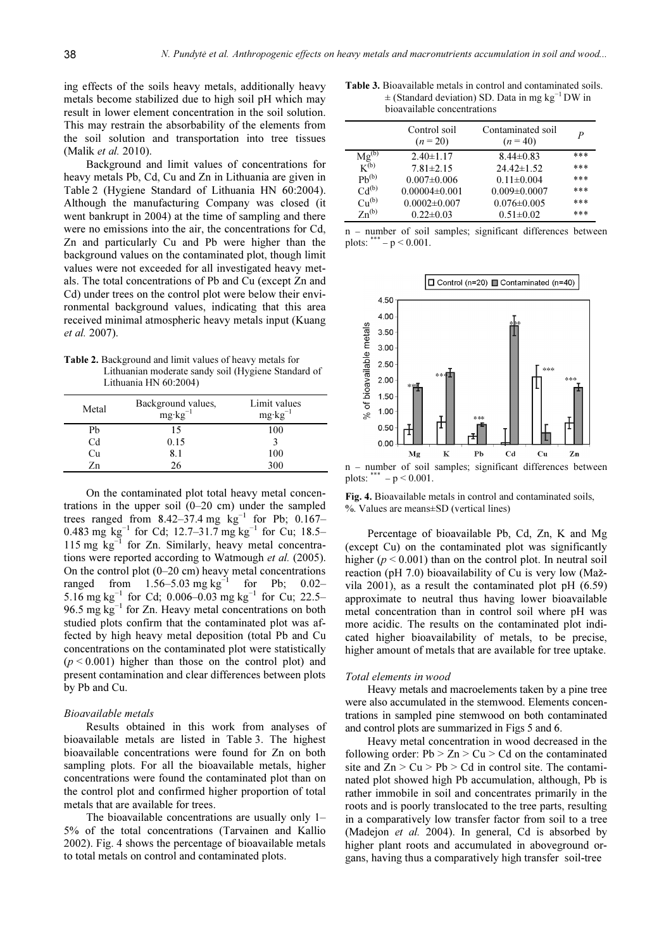ing effects of the soils heavy metals, additionally heavy metals become stabilized due to high soil pH which may result in lower element concentration in the soil solution. This may restrain the absorbability of the elements from the soil solution and transportation into tree tissues (Malik et al. 2010).

Background and limit values of concentrations for heavy metals Pb, Cd, Cu and Zn in Lithuania are given in Table 2 (Hygiene Standard of Lithuania HN 60:2004). Although the manufacturing Company was closed (it went bankrupt in 2004) at the time of sampling and there were no emissions into the air, the concentrations for Cd, Zn and particularly Cu and Pb were higher than the background values on the contaminated plot, though limit values were not exceeded for all investigated heavy metals. The total concentrations of Pb and Cu (except Zn and Cd) under trees on the control plot were below their environmental background values, indicating that this area received minimal atmospheric heavy metals input (Kuang et al. 2007).

Table 2. Background and limit values of heavy metals for Lithuanian moderate sandy soil (Hygiene Standard of Lithuania HN 60:2004)

| Metal          | Background values,<br>$mg \cdot kg^{-1}$ | Limit values<br>$mg \cdot kg^{-1}$ |
|----------------|------------------------------------------|------------------------------------|
| Pb             | 15                                       | 100                                |
| C <sub>d</sub> | 0.15                                     |                                    |
| Cu             | 8.1                                      | 100                                |
| Zn             | 26                                       | 300                                |

On the contaminated plot total heavy metal concentrations in the upper soil  $(0-20 \text{ cm})$  under the sampled trees ranged from  $8.42-37.4$  mg kg<sup>-1</sup> for Pb; 0.167– 0.483 mg  $\text{kg}^{-1}$  for Cd; 12.7–31.7 mg  $\text{kg}^{-1}$  for Cu; 18.5– 115 mg kg−1 for Zn. Similarly, heavy metal concentrations were reported according to Watmough et al. (2005). On the control plot  $(0-20 \text{ cm})$  heavy metal concentrations ranged from  $1.56-5.03$  mg kg<sup>-1</sup> for Pb; 0.02– 5.16 mg kg<sup>-1</sup> for Cd; 0.006–0.03 mg kg<sup>-1</sup> for Cu; 22.5– 96.5 mg kg<sup>-1</sup> for Zn. Heavy metal concentrations on both studied plots confirm that the contaminated plot was affected by high heavy metal deposition (total Pb and Cu concentrations on the contaminated plot were statistically  $(p < 0.001)$  higher than those on the control plot) and present contamination and clear differences between plots by Pb and Cu.

# Bioavailable metals

Results obtained in this work from analyses of bioavailable metals are listed in Table 3. The highest bioavailable concentrations were found for Zn on both sampling plots. For all the bioavailable metals, higher concentrations were found the contaminated plot than on the control plot and confirmed higher proportion of total metals that are available for trees.

The bioavailable concentrations are usually only 1– 5% of the total concentrations (Tarvainen and Kallio 2002). Fig. 4 shows the percentage of bioavailable metals to total metals on control and contaminated plots.

Table 3. Bioavailable metals in control and contaminated soils.  $±$  (Standard deviation) SD. Data in mg kg<sup>-1</sup> DW in bioavailable concentrations

|                            | Control soil<br>$(n=20)$ | Contaminated soil<br>$(n=40)$ | P   |
|----------------------------|--------------------------|-------------------------------|-----|
| $\frac{Mg^{(b)}}{K^{(b)}}$ | $2.40 \pm 1.17$          | $8.44\pm0.83$                 | *** |
|                            | $7.81 \pm 2.15$          | $24.42 \pm 1.52$              | *** |
| $Ph^{(b)}$                 | $0.007 \pm 0.006$        | $0.11 \pm 0.004$              | *** |
| $Cd^{(b)}$                 | $0.00004 \pm 0.001$      | $0.009 \pm 0.0007$            | *** |
| Cu <sup>(b)</sup>          | $0.0002\pm0.007$         | $0.076 \pm 0.005$             | *** |
| $Zn^{(b)}$                 | $0.22 \pm 0.03$          | $0.51 \pm 0.02$               | *** |

n – number of soil samples; significant differences between plots:  $*** - p < 0.001$ .



n – number of soil samples; significant differences between plots:  $-p < 0.001$ .

Fig. 4. Bioavailable metals in control and contaminated soils, %. Values are means±SD (vertical lines)

Percentage of bioavailable Pb, Cd, Zn, K and Mg (except Cu) on the contaminated plot was significantly higher ( $p < 0.001$ ) than on the control plot. In neutral soil reaction (pH 7.0) bioavailability of Cu is very low (Mažvila 2001), as a result the contaminated plot pH (6.59) approximate to neutral thus having lower bioavailable metal concentration than in control soil where pH was more acidic. The results on the contaminated plot indicated higher bioavailability of metals, to be precise, higher amount of metals that are available for tree uptake.

### Total elements in wood

Heavy metals and macroelements taken by a pine tree were also accumulated in the stemwood. Elements concentrations in sampled pine stemwood on both contaminated and control plots are summarized in Figs 5 and 6.

Heavy metal concentration in wood decreased in the following order:  $Pb > Zn > Cu > Cd$  on the contaminated site and  $Zn > Cu > Pb > Cd$  in control site. The contaminated plot showed high Pb accumulation, although, Pb is rather immobile in soil and concentrates primarily in the roots and is poorly translocated to the tree parts, resulting in a comparatively low transfer factor from soil to a tree (Madejon *et al.* 2004). In general, Cd is absorbed by higher plant roots and accumulated in aboveground organs, having thus a comparatively high transfer soil-tree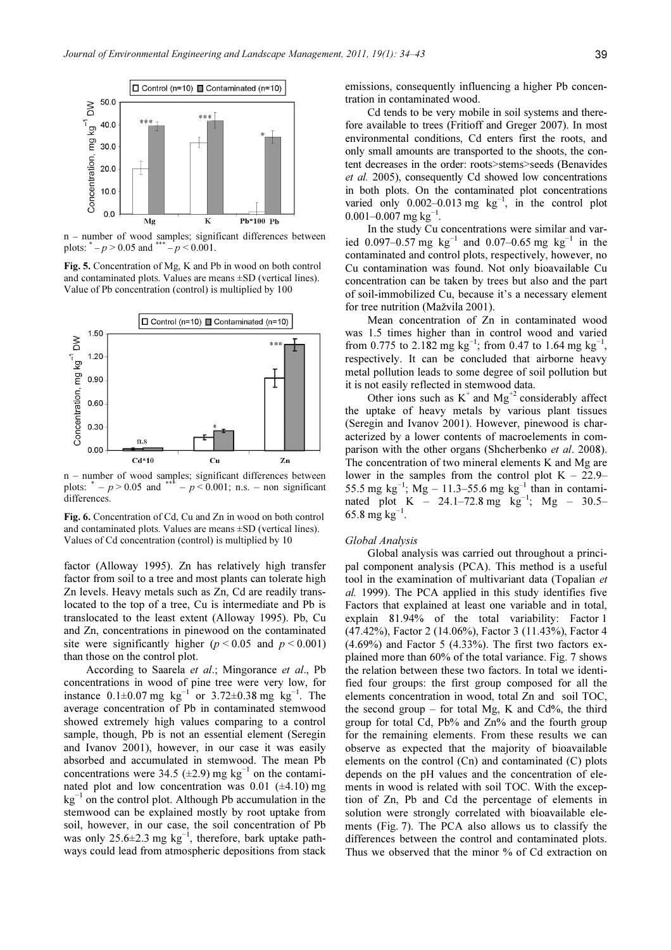

n – number of wood samples; significant differences between plots:  $^* - p > 0.05$  and  $^{***} - p < 0.001$ .

Fig. 5. Concentration of Mg, K and Pb in wood on both control and contaminated plots. Values are means ±SD (vertical lines). Value of Pb concentration (control) is multiplied by 100



n – number of wood samples; significant differences between plots:  $^* - p > 0.05$  and  $^{***} - p < 0.001$ ; n.s. – non significant differences.

Fig. 6. Concentration of Cd, Cu and Zn in wood on both control and contaminated plots. Values are means ±SD (vertical lines). Values of Cd concentration (control) is multiplied by 10

factor (Alloway 1995). Zn has relatively high transfer factor from soil to a tree and most plants can tolerate high Zn levels. Heavy metals such as Zn, Cd are readily translocated to the top of a tree, Cu is intermediate and Pb is translocated to the least extent (Alloway 1995). Pb, Cu and Zn, concentrations in pinewood on the contaminated site were significantly higher ( $p < 0.05$  and  $p < 0.001$ ) than those on the control plot.

According to Saarela et al.; Mingorance et al., Pb concentrations in wood of pine tree were very low, for instance  $0.1\pm0.07$  mg kg<sup>-1</sup> or 3.72±0.38 mg kg<sup>-1</sup>. The average concentration of Pb in contaminated stemwood showed extremely high values comparing to a control sample, though, Pb is not an essential element (Seregin and Ivanov 2001), however, in our case it was easily absorbed and accumulated in stemwood. The mean Pb concentrations were 34.5 ( $\pm$ 2.9) mg kg<sup>-1</sup> on the contaminated plot and low concentration was  $0.01$  ( $\pm$ 4.10) mg  $kg^{-1}$  on the control plot. Although Pb accumulation in the stemwood can be explained mostly by root uptake from soil, however, in our case, the soil concentration of Pb was only 25.6 $\pm$ 2.3 mg kg<sup>-1</sup>, therefore, bark uptake pathways could lead from atmospheric depositions from stack

emissions, consequently influencing a higher Pb concentration in contaminated wood.

Cd tends to be very mobile in soil systems and therefore available to trees (Fritioff and Greger 2007). In most environmental conditions, Cd enters first the roots, and only small amounts are transported to the shoots, the content decreases in the order: roots>stems>seeds (Benavides et al. 2005), consequently Cd showed low concentrations in both plots. On the contaminated plot concentrations varied only 0.002–0.013 mg  $kg^{-1}$ , in the control plot 0.001–0.007 mg kg<sup>-1</sup>.

In the study Cu concentrations were similar and varied 0.097–0.57 mg kg<sup>-1</sup> and 0.07–0.65 mg kg<sup>-1</sup> in the contaminated and control plots, respectively, however, no Cu contamination was found. Not only bioavailable Cu concentration can be taken by trees but also and the part of soil-immobilized Cu, because it's a necessary element for tree nutrition (Mažvila 2001).

Mean concentration of Zn in contaminated wood was 1.5 times higher than in control wood and varied from 0.775 to 2.182 mg kg<sup>-1</sup>; from 0.47 to 1.64 mg kg<sup>-1</sup>, respectively. It can be concluded that airborne heavy metal pollution leads to some degree of soil pollution but it is not easily reflected in stemwood data.

Other ions such as  $K^+$  and  $Mg^{+2}$  considerably affect the uptake of heavy metals by various plant tissues (Seregin and Ivanov 2001). However, pinewood is characterized by a lower contents of macroelements in comparison with the other organs (Shcherbenko et al. 2008). The concentration of two mineral elements K and Mg are lower in the samples from the control plot  $K - 22.9$ 55.5 mg kg<sup>-1</sup>; Mg – 11.3–55.6 mg kg<sup>-1</sup> than in contaminated plot K – 24.1–72.8 mg kg<sup>-1</sup>; Mg – 30.5– 65.8 mg  $kg^{-1}$ .

#### Global Analysis

Global analysis was carried out throughout a principal component analysis (PCA). This method is a useful tool in the examination of multivariant data (Topalian et al. 1999). The PCA applied in this study identifies five Factors that explained at least one variable and in total, explain 81.94% of the total variability: Factor 1 (47.42%), Factor 2 (14.06%), Factor 3 (11.43%), Factor 4  $(4.69\%)$  and Factor 5  $(4.33\%)$ . The first two factors explained more than 60% of the total variance. Fig. 7 shows the relation between these two factors. In total we identified four groups: the first group composed for all the elements concentration in wood, total Zn and soil TOC, the second group – for total Mg, K and Cd%, the third group for total Cd, Pb% and Zn% and the fourth group for the remaining elements. From these results we can observe as expected that the majority of bioavailable elements on the control (Cn) and contaminated (C) plots depends on the pH values and the concentration of elements in wood is related with soil TOC. With the exception of Zn, Pb and Cd the percentage of elements in solution were strongly correlated with bioavailable elements (Fig. 7). The PCA also allows us to classify the differences between the control and contaminated plots. Thus we observed that the minor % of Cd extraction on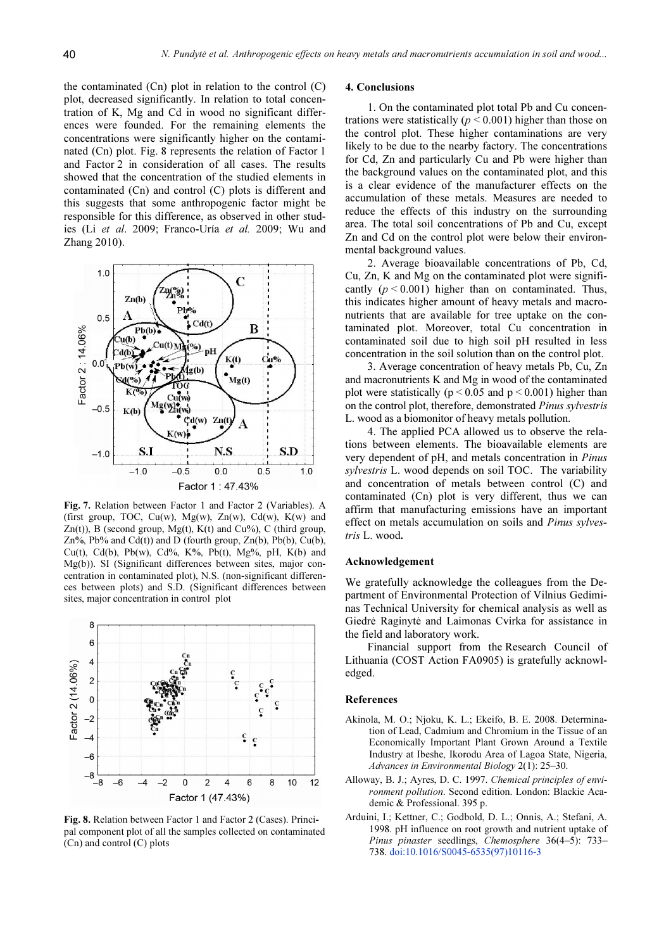the contaminated  $(Cn)$  plot in relation to the control  $(C)$ plot, decreased significantly. In relation to total concentration of K, Mg and Cd in wood no significant differences were founded. For the remaining elements the concentrations were significantly higher on the contaminated (Cn) plot. Fig. 8 represents the relation of Factor 1 and Factor 2 in consideration of all cases. The results showed that the concentration of the studied elements in contaminated (Cn) and control (C) plots is different and this suggests that some anthropogenic factor might be responsible for this difference, as observed in other studies (Li et al. 2009; Franco-Uría et al. 2009; Wu and Zhang 2010).



Fig. 7. Relation between Factor 1 and Factor 2 (Variables). A (first group, TOC, Cu(w),  $Mg(w)$ , Zn(w), Cd(w), K(w) and Zn(t)), B (second group, Mg(t), K(t) and Cu%), C (third group, Zn%, Pb% and Cd(t)) and D (fourth group, Zn(b), Pb(b), Cu(b), Cu(t), Cd(b), Pb(w), Cd%, K%, Pb(t), Mg%, pH, K(b) and Mg(b)). SI (Significant differences between sites, major concentration in contaminated plot), N.S. (non-significant differences between plots) and S.D. (Significant differences between sites, major concentration in control plot



Fig. 8. Relation between Factor 1 and Factor 2 (Cases). Principal component plot of all the samples collected on contaminated (Cn) and control (C) plots

# 4. Conclusions

1. On the contaminated plot total Pb and Cu concentrations were statistically ( $p \le 0.001$ ) higher than those on the control plot. These higher contaminations are very likely to be due to the nearby factory. The concentrations for Cd, Zn and particularly Cu and Pb were higher than the background values on the contaminated plot, and this is a clear evidence of the manufacturer effects on the accumulation of these metals. Measures are needed to reduce the effects of this industry on the surrounding area. The total soil concentrations of Pb and Cu, except Zn and Cd on the control plot were below their environmental background values.

2. Average bioavailable concentrations of Pb, Cd, Cu, Zn, K and Mg on the contaminated plot were significantly  $(p < 0.001)$  higher than on contaminated. Thus, this indicates higher amount of heavy metals and macronutrients that are available for tree uptake on the contaminated plot. Moreover, total Cu concentration in contaminated soil due to high soil pH resulted in less concentration in the soil solution than on the control plot.

3. Average concentration of heavy metals Pb, Cu, Zn and macronutrients K and Mg in wood of the contaminated plot were statistically ( $p \le 0.05$  and  $p \le 0.001$ ) higher than on the control plot, therefore, demonstrated Pinus sylvestris L. wood as a biomonitor of heavy metals pollution.

4. The applied PCA allowed us to observe the relations between elements. The bioavailable elements are very dependent of pH, and metals concentration in Pinus sylvestris L. wood depends on soil TOC. The variability and concentration of metals between control (C) and contaminated (Cn) plot is very different, thus we can affirm that manufacturing emissions have an important effect on metals accumulation on soils and Pinus sylvestris L. wood.

#### Acknowledgement

We gratefully acknowledge the colleagues from the Department of Environmental Protection of Vilnius Gediminas Technical University for chemical analysis as well as Giedrė Raginytė and Laimonas Cvirka for assistance in the field and laboratory work.

Financial support from the Research Council of Lithuania (COST Action FA0905) is gratefully acknowledged.

# References

- Akinola, M. O.; Njoku, K. L.; Ekeifo, B. E. 2008. Determination of Lead, Cadmium and Chromium in the Tissue of an Economically Important Plant Grown Around a Textile Industry at Ibeshe, Ikorodu Area of Lagoa State, Nigeria, Advances in Environmental Biology 2(1): 25–30.
- Alloway, B. J.; Ayres, D. C. 1997. Chemical principles of environment pollution. Second edition. London: Blackie Academic & Professional. 395 p.
- Arduini, I.; Kettner, C.; Godbold, D. L.; Onnis, A.; Stefani, A. 1998. pH influence on root growth and nutrient uptake of Pinus pinaster seedlings, Chemosphere 36(4–5): 733– 738. doi:10.1016/S0045-6535(97)10116-3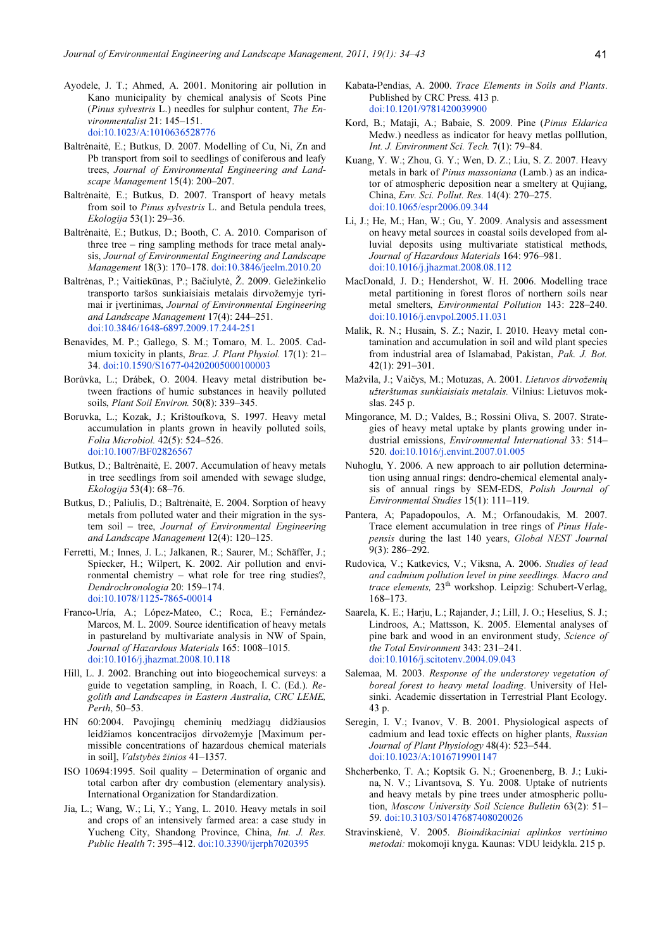- Ayodele, J. T.; Ahmed, A. 2001. Monitoring air pollution in Kano municipality by chemical analysis of Scots Pine (Pinus sylvestris L.) needles for sulphur content, The Environmentalist 21: 145–151. doi:10.1023/A:1010636528776
- Baltrėnaitė, E.; Butkus, D. 2007. Modelling of Cu, Ni, Zn and Pb transport from soil to seedlings of coniferous and leafy trees, Journal of Environmental Engineering and Landscape Management 15(4): 200–207.
- Baltrėnaitė, E.; Butkus, D. 2007. Transport of heavy metals from soil to Pinus sylvestris L. and Betula pendula trees, Ekologija 53(1): 29–36.
- Baltrėnaitė, E.; Butkus, D.; Booth, C. A. 2010. Comparison of three tree – ring sampling methods for trace metal analysis, Journal of Environmental Engineering and Landscape Management 18(3): 170–178. doi:10.3846/jeelm.2010.20
- Baltrėnas, P.; Vaitiekūnas, P.; Bačiulytė, Ž. 2009. Geležinkelio transporto taršos sunkiaisiais metalais dirvožemyje tyrimai ir įvertinimas, Journal of Environmental Engineering and Landscape Management 17(4): 244–251. doi:10.3846/1648-6897.2009.17.244-251
- Benavides, M. P.; Gallego, S. M.; Tomaro, M. L. 2005. Cadmium toxicity in plants, *Braz. J. Plant Physiol.* 17(1): 21– 34. doi:10.1590/S1677-04202005000100003
- Borůvka, L.; Drábek, O. 2004. Heavy metal distribution between fractions of humic substances in heavily polluted soils, Plant Soil Environ. 50(8): 339–345.
- Boruvka, L.; Kozak, J.; Krištoufkova, S. 1997. Heavy metal accumulation in plants grown in heavily polluted soils, Folia Microbiol. 42(5): 524–526. doi:10.1007/BF02826567
- Butkus, D.; Baltrėnaitė, E. 2007. Accumulation of heavy metals in tree seedlings from soil amended with sewage sludge, Ekologija 53(4): 68–76.
- Butkus, D.; Paliulis, D.; Baltrėnaitė, E. 2004. Sorption of heavy metals from polluted water and their migration in the system soil – tree, Journal of Environmental Engineering and Landscape Management 12(4): 120–125.
- Ferretti, M.; Innes, J. L.; Jalkanen, R.; Saurer, M.; Schäffer, J.; Spiecker, H.; Wilpert, K. 2002. Air pollution and environmental chemistry – what role for tree ring studies?, Dendrochronologia 20: 159–174. doi:10.1078/1125-7865-00014
- Franco-Uría, A.; López-Mateo, C.; Roca, E.; Fernández-Marcos, M. L. 2009. Source identification of heavy metals in pastureland by multivariate analysis in NW of Spain, Journal of Hazardous Materials 165: 1008–1015. doi:10.1016/j.jhazmat.2008.10.118
- Hill, L. J. 2002. Branching out into biogeochemical surveys: a guide to vegetation sampling, in Roach, I. C. (Ed.). Regolith and Landscapes in Eastern Australia, CRC LEME, Perth, 50–53.
- HN 60:2004. Pavojingų cheminių medžiagų didžiausios leidžiamos koncentracijos dirvožemyje [Maximum permissible concentrations of hazardous chemical materials in soil], Valstybės žinios 41–1357.
- ISO 10694:1995. Soil quality Determination of organic and total carbon after dry combustion (elementary analysis). International Organization for Standardization.
- Jia, L.; Wang, W.; Li, Y.; Yang, L. 2010. Heavy metals in soil and crops of an intensively farmed area: a case study in Yucheng City, Shandong Province, China, Int. J. Res. Public Health 7: 395–412. doi:10.3390/ijerph7020395
- Kabata-Pendias, A. 2000. Trace Elements in Soils and Plants. Published by CRC Press. 413 p. doi:10.1201/9781420039900
- Kord, B.; Mataji, A.; Babaie, S. 2009. Pine (Pinus Eldarica Medw.) needless as indicator for heavy metlas polllution, Int. J. Environment Sci. Tech. 7(1): 79–84.
- Kuang, Y. W.; Zhou, G. Y.; Wen, D. Z.; Liu, S. Z. 2007. Heavy metals in bark of Pinus massoniana (Lamb.) as an indicator of atmospheric deposition near a smeltery at Qujiang, China, Env. Sci. Pollut. Res. 14(4): 270–275. doi:10.1065/espr2006.09.344
- Li, J.; He, M.; Han, W.; Gu, Y. 2009. Analysis and assessment on heavy metal sources in coastal soils developed from alluvial deposits using multivariate statistical methods, Journal of Hazardous Materials 164: 976–981. doi:10.1016/j.jhazmat.2008.08.112
- MacDonald, J. D.; Hendershot, W. H. 2006. Modelling trace metal partitioning in forest floros of northern soils near metal smelters, Environmental Pollution 143: 228–240. doi:10.1016/j.envpol.2005.11.031
- Malik, R. N.; Husain, S. Z.; Nazir, I. 2010. Heavy metal contamination and accumulation in soil and wild plant species from industrial area of Islamabad, Pakistan, Pak. J. Bot. 42(1): 291–301.
- Mažvila, J.; Vaičys, M.; Motuzas, A. 2001. Lietuvos dirvožemių užterštumas sunkiaisiais metalais. Vilnius: Lietuvos mokslas. 245 p.
- Mingorance, M. D.; Valdes, B.; Rossini Oliva, S. 2007. Strategies of heavy metal uptake by plants growing under industrial emissions, Environmental International 33: 514– 520. doi:10.1016/j.envint.2007.01.005
- Nuhoglu, Y. 2006. A new approach to air pollution determination using annual rings: dendro-chemical elemental analysis of annual rings by SEM-EDS, Polish Journal of Environmental Studies 15(1): 111–119.
- Pantera, A; Papadopoulos, A. M.; Orfanoudakis, M. 2007. Trace element accumulation in tree rings of Pinus Halepensis during the last 140 years, Global NEST Journal 9(3): 286–292.
- Rudovica, V.; Katkevics, V.; Viksna, A. 2006. Studies of lead and cadmium pollution level in pine seedlings. Macro and trace elements, 23<sup>th</sup> workshop. Leipzig: Schubert-Verlag, 168–173.
- Saarela, K. E.; Harju, L.; Rajander, J.; Lill, J. O.; Heselius, S. J.; Lindroos, A.; Mattsson, K. 2005. Elemental analyses of pine bark and wood in an environment study, Science of the Total Environment 343: 231–241. doi:10.1016/j.scitotenv.2004.09.043
- Salemaa, M. 2003. Response of the understorey vegetation of boreal forest to heavy metal loading. University of Helsinki. Academic dissertation in Terrestrial Plant Ecology. 43 p.
- Seregin, I. V.; Ivanov, V. B. 2001. Physiological aspects of cadmium and lead toxic effects on higher plants, Russian Journal of Plant Physiology 48(4): 523–544. doi:10.1023/A:1016719901147
- Shcherbenko, T. A.; Koptsik G. N.; Groenenberg, B. J.; Lukina, N. V.; Livantsova, S. Yu. 2008. Uptake of nutrients and heavy metals by pine trees under atmospheric pollution, Moscow University Soil Science Bulletin 63(2): 51– 59. doi:10.3103/S0147687408020026
- Stravinskienė, V. 2005. Bioindikaciniai aplinkos vertinimo metodai: mokomoji knyga. Kaunas: VDU leidykla. 215 p.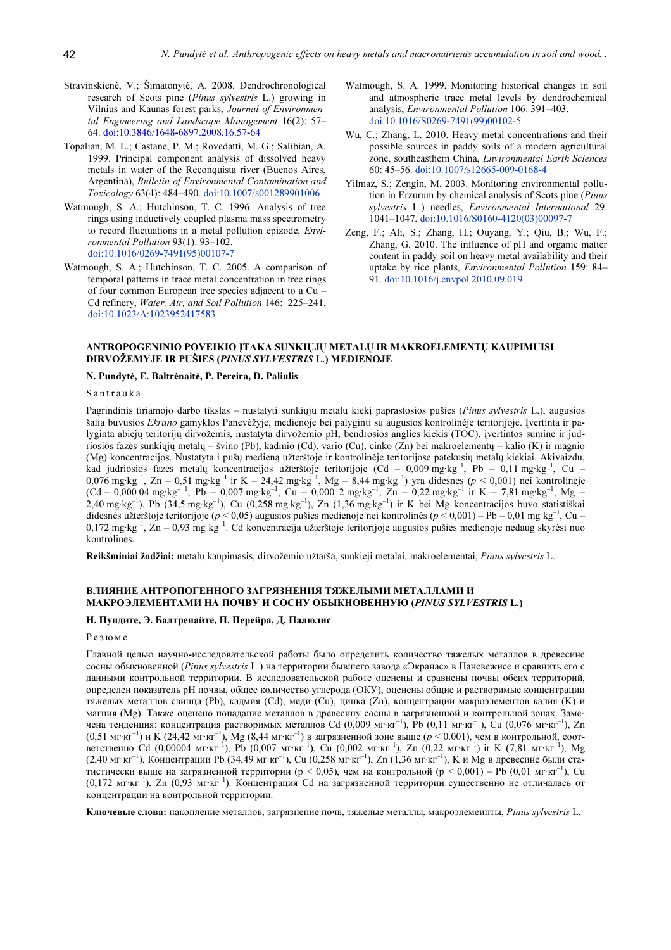- Stravinskienė, V.; Šimatonytė, A. 2008. Dendrochronological research of Scots pine (Pinus sylvestris L.) growing in Vilnius and Kaunas forest parks, Journal of Environmental Engineering and Landscape Management 16(2): 57– 64. doi:10.3846/1648-6897.2008.16.57-64
- Topalian, M. L.; Castane, P. M.; Rovedatti, M. G.; Salibian, A. 1999. Principal component analysis of dissolved heavy metals in water of the Reconquista river (Buenos Aires, Argentina), Bulletin of Environmental Contamination and Toxicology 63(4): 484–490. doi:10.1007/s001289901006
- Watmough, S. A.; Hutchinson, T. C. 1996. Analysis of tree rings using inductively coupled plasma mass spectrometry to record fluctuations in a metal pollution epizode, Environmental Pollution 93(1): 93–102. doi:10.1016/0269-7491(95)00107-7
- Watmough, S. A.; Hutchinson, T. C. 2005. A comparison of temporal patterns in trace metal concentration in tree rings of four common European tree species adjacent to a Cu – Cd refinery, Water, Air, and Soil Pollution 146: 225–241. doi:10.1023/A:1023952417583
- Watmough, S. A. 1999. Monitoring historical changes in soil and atmospheric trace metal levels by dendrochemical analysis, Environmental Pollution 106: 391–403. doi:10.1016/S0269-7491(99)00102-5
- Wu, C.; Zhang, L. 2010. Heavy metal concentrations and their possible sources in paddy soils of a modern agricultural zone, southeasthern China, Environmental Earth Sciences 60: 45–56. doi:10.1007/s12665-009-0168-4
- Yilmaz, S.; Zengin, M. 2003. Monitoring environmental pollution in Erzurum by chemical analysis of Scots pine (Pinus sylvestris L.) needles, Environmental International 29: 1041–1047. doi:10.1016/S0160-4120(03)00097-7
- Zeng, F.; Ali, S.; Zhang, H.; Ouyang, Y.; Qiu, B.; Wu, F.; Zhang, G. 2010. The influence of pH and organic matter content in paddy soil on heavy metal availability and their uptake by rice plants, Environmental Pollution 159: 84– 91. doi:10.1016/j.envpol.2010.09.019

# ANTROPOGENINIO POVEIKIO ĮTAKA SUNKIŲJŲ METALŲ IR MAKROELEMENTŲ KAUPIMUISI DIRVOŽEMYJE IR PUŠIES (PINUS SYLVESTRIS L.) MEDIENOJE

#### N. Pundytė, E. Baltrėnaitė, P. Pereira, D. Paliulis

# S a n t r a u k a

Pagrindinis tiriamojo darbo tikslas – nustatyti sunkiųjų metalų kiekį paprastosios pušies (Pinus sylvestris L.), augusios šalia buvusios Ekrano gamyklos Panevėžyje, medienoje bei palyginti su augusios kontrolinėje teritorijoje. Įvertinta ir palyginta abiejų teritorijų dirvožemis, nustatyta dirvožemio pH, bendrosios anglies kiekis (TOC), įvertintos suminė ir judriosios fazės sunkiųjų metalų – švino (Pb), kadmio (Cd), vario (Cu), cinko (Zn) bei makroelementų – kalio (K) ir magnio (Mg) koncentracijos. Nustatyta į pušų medieną užterštoje ir kontrolinėje teritorijose patekusių metalų kiekiai. Akivaizdu, kad judriosios fazės metalų koncentracijos užterštoje teritorijoje (Cd – 0,009 mg·kg–1, Pb – 0,11 mg·kg–1, Cu – 0,076 mg·kg<sup>-1</sup>, Zn – 0,51 mg·kg<sup>-1</sup> ir K – 24,42 mg·kg<sup>-1</sup>, Mg – 8,44 mg·kg<sup>-1</sup>) yra didesnės (p < 0,001) nei kontrolinėje  $(Cd - 0.00004 \text{ mg} \cdot \text{kg}^{-1}$ , Pb – 0.007 mg·kg<sup>-1</sup>, Cu – 0.000 2 mg·kg<sup>-1</sup>, Zn – 0.22 mg·kg<sup>-1</sup> ir K – 7.81 mg·kg<sup>-1</sup>, Mg –  $2,40$  mg·kg<sup>-1</sup>). Pb (34,5 mg·kg<sup>-1</sup>), Cu (0,258 mg·kg<sup>-1</sup>), Zn (1,36 mg·kg<sup>-1</sup>) ir K bei Mg koncentracijos buvo statistiškai didesnės užterštoje teritorijoje ( $p < 0.05$ ) augusios pušies medienoje nei kontrolinės ( $p < 0.001$ ) – Pb – 0.01 mg kg<sup>-1</sup>, Cu – 0,172 mg·kg<sup>-1</sup>, Zn – 0,93 mg kg<sup>-1</sup>. Cd koncentracija užterštoje teritorijoje augusios pušies medienoje nedaug skyrėsi nuo kontrolinės.

Reikšminiai žodžiai: metalų kaupimasis, dirvožemio užtarša, sunkieji metalai, makroelementai, Pinus sylvestris L.

# ВЛИЯНИЕ АНТРОПОГЕННОГО ЗАГРЯЗНЕНИЯ ТЯЖЕЛЫМИ МЕТАЛЛАМИ И МАКРОЭЛЕМЕНТАМИ НА ПОЧВУ И СОСНУ ОБЫКНОВЕННУЮ (PINUS SYLVESTRIS L.)

# Н. Пундите, Э. Балтренайте, П. Перейра, Д. Палюлис

# Р е з ю м е

Главной целью научно-исследовательской работы было определить количество тяжелых металлов в древесине сосны обыкновенной (Pinus sylvestris L.) на территории бывшего завода «Экранас» в Паневежисе и сравнить его с данными контрольной территории. В исследовательской работе оценены и сравнены почвы обеих территорий, определен показатель рН почвы, общее количество углерода (ОКУ), оценены общие и растворимые концентрации тяжелых металлов свинца (Pb), кадмия (Cd), меди (Cu), цинка (Zn), концентрации макроэлементов калия (K) и магния (Mg). Также оценено попадание металлов в древесину сосны в загрязненной и контрольной зонах. Замечена тенденция: концентрация растворимых металлов Cd (0,009 мг·кг<sup>-1</sup>), Pb (0,11 мг·кг<sup>-1</sup>), Cu (0,076 мг·кг<sup>-1</sup>), Zn  $(0,51 \text{ m} \cdot \text{kr}^{-1})$  и К  $(24,42 \text{ m} \cdot \text{kr}^{-1})$ , Мg  $(8,44 \text{ m} \cdot \text{kr}^{-1})$  в загрязненной зоне выше  $(p \le 0.001)$ , чем в контрольной, соответственно Cd (0,00004 мг·кг–1), Pb (0,007 мг·кг–1), Cu (0,002 мг·кг–1), Zn (0,22 мг·кг–1) ir K (7,81 мг·кг–1), Mg (2,40 мг·кг<sup>-1</sup>). Концентрации Pb (34,49 мг·кг<sup>-1</sup>), Cu (0,258 мг·кг<sup>-1</sup>), Zn (1,36 мг·кг<sup>-1</sup>), K и Mg в древесине были статистически выше на загрязненной территории (р < 0,05), чем на контрольной (р < 0,001) – Pb (0,01 мг·кг<sup>-1</sup>), Cu (0,172 мг·кг–1), Zn (0,93 мг·кг–1). Концентрация Cd на загрязненной территории существенно не отличалась от концентрации на контрольной территории.

Ключевые слова: накопление металлов, загрязнение почв, тяжелые металлы, макроэлемеинты, Pinus sylvestris L.